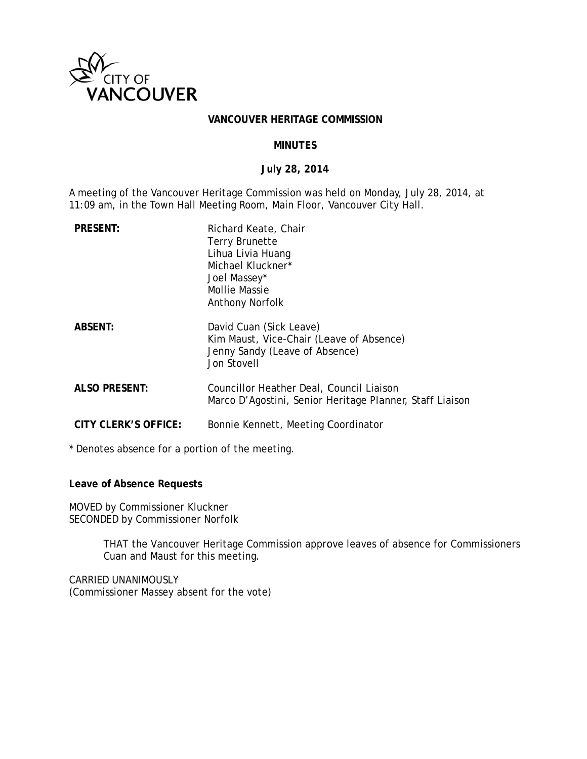

#### VANCOUVER HERITAGE COMMISSION

### **MINUTES**

#### July 28, 2014

A meeting of the Vancouver Heritage Commission was held on Monday, July 28, 2014, at 11:09 am, in the Town Hall Meeting Room, Main Floor, Vancouver City Hall.

| <b>PRESENT:</b>      | Richard Keate, Chair<br>Terry Brunette<br>Lihua Livia Huang<br>Michael Kluckner*<br>Joel Massey*<br>Mollie Massie<br>Anthony Norfolk |
|----------------------|--------------------------------------------------------------------------------------------------------------------------------------|
| <b>ABSENT:</b>       | David Cuan (Sick Leave)<br>Kim Maust, Vice-Chair (Leave of Absence)<br>Jenny Sandy (Leave of Absence)<br>Jon Stovell                 |
| <b>ALSO PRESENT:</b> | Councillor Heather Deal, Council Liaison<br>Marco D'Agostini, Senior Heritage Planner, Staff Liaison                                 |
| CITY CLERK'S OFFICE: | Bonnie Kennett, Meeting Coordinator                                                                                                  |

\* Denotes absence for a portion of the meeting.

Leave of Absence Requests

MOVED by Commissioner Kluckner SECONDED by Commissioner Norfolk

> THAT the Vancouver Heritage Commission approve leaves of absence for Commissioners Cuan and Maust for this meeting.

CARRIED UNANIMOUSLY (Commissioner Massey absent for the vote)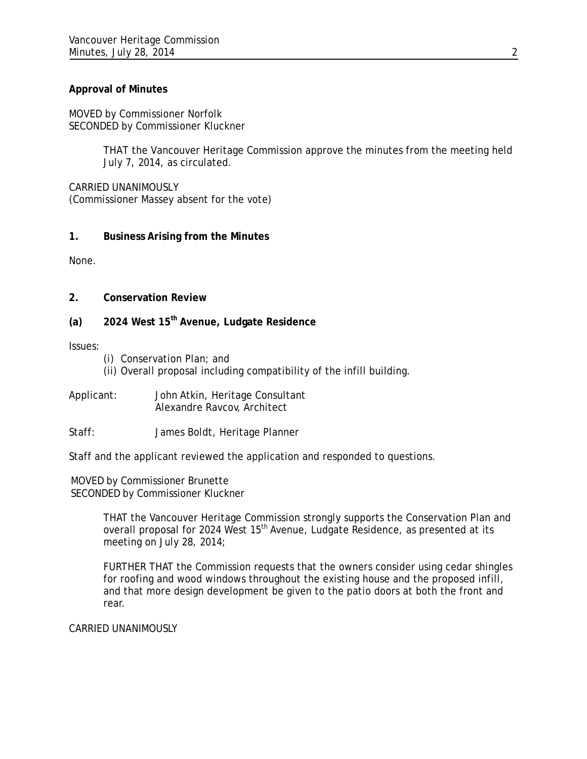## **Approval of Minutes**

MOVED by Commissioner Norfolk SECONDED by Commissioner Kluckner

> THAT the Vancouver Heritage Commission approve the minutes from the meeting held July 7, 2014, as circulated.

CARRIED UNANIMOUSLY (Commissioner Massey absent for the vote)

## **1. Business Arising from the Minutes**

None.

- **2. Conservation Review**
- **(a) 2024 West 15th Avenue, Ludgate Residence**

Issues:

- (i) Conservation Plan; and
- (ii) Overall proposal including compatibility of the infill building.
- Applicant: John Atkin, Heritage Consultant Alexandre Ravcov, Architect
- Staff: James Boldt, Heritage Planner

Staff and the applicant reviewed the application and responded to questions.

MOVED by Commissioner Brunette SECONDED by Commissioner Kluckner

> THAT the Vancouver Heritage Commission strongly supports the Conservation Plan and overall proposal for 2024 West 15<sup>th</sup> Avenue, Ludgate Residence, as presented at its meeting on July 28, 2014;

> FURTHER THAT the Commission requests that the owners consider using cedar shingles for roofing and wood windows throughout the existing house and the proposed infill, and that more design development be given to the patio doors at both the front and rear.

CARRIED UNANIMOUSLY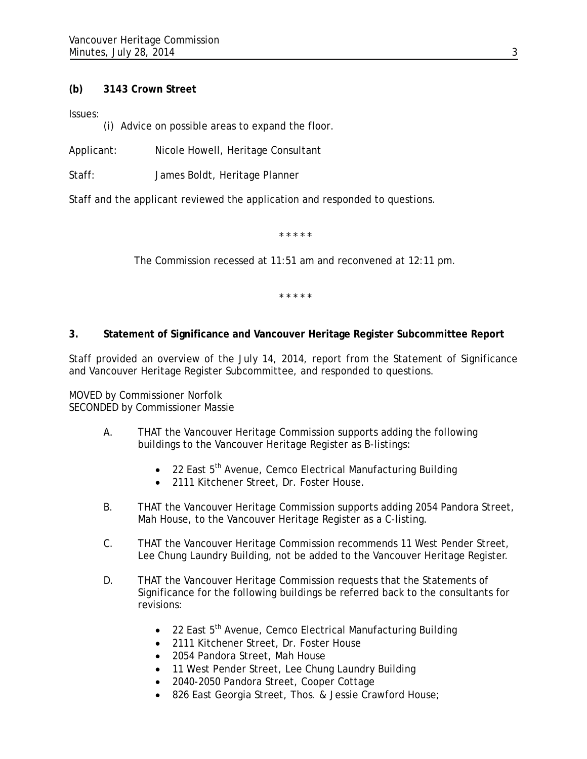# **(b) 3143 Crown Street**

Issues:

(i) Advice on possible areas to expand the floor.

Applicant: Nicole Howell, Heritage Consultant

Staff: James Boldt, Heritage Planner

Staff and the applicant reviewed the application and responded to questions.

\* \* \* \* \*

The Commission recessed at 11:51 am and reconvened at 12:11 pm.

\* \* \* \* \*

# **3. Statement of Significance and Vancouver Heritage Register Subcommittee Report**

Staff provided an overview of the July 14, 2014, report from the Statement of Significance and Vancouver Heritage Register Subcommittee, and responded to questions.

MOVED by Commissioner Norfolk SECONDED by Commissioner Massie

- A. THAT the Vancouver Heritage Commission supports adding the following buildings to the Vancouver Heritage Register as B-listings:
	- $\bullet$  22 East 5<sup>th</sup> Avenue, Cemco Electrical Manufacturing Building
	- 2111 Kitchener Street, Dr. Foster House.
- B. THAT the Vancouver Heritage Commission supports adding 2054 Pandora Street, Mah House, to the Vancouver Heritage Register as a C-listing.
- C. THAT the Vancouver Heritage Commission recommends 11 West Pender Street, Lee Chung Laundry Building, not be added to the Vancouver Heritage Register.
- D. THAT the Vancouver Heritage Commission requests that the Statements of Significance for the following buildings be referred back to the consultants for revisions:
	- $\bullet$  22 East 5<sup>th</sup> Avenue, Cemco Electrical Manufacturing Building
	- 2111 Kitchener Street, Dr. Foster House
	- 2054 Pandora Street, Mah House
	- 11 West Pender Street, Lee Chung Laundry Building
	- 2040-2050 Pandora Street, Cooper Cottage
	- 826 East Georgia Street, Thos. & Jessie Crawford House;